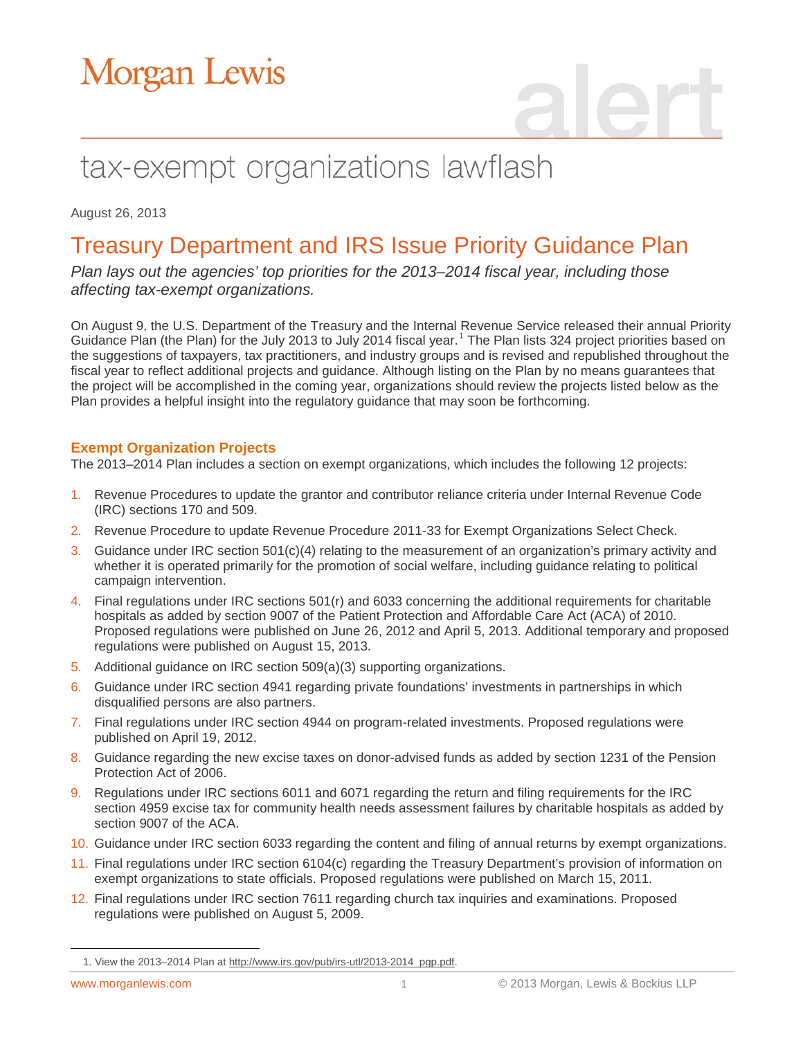# tax-exempt organizations lawflash

August 26, 2013

### Treasury Department and IRS Issue Priority Guidance Plan

*Plan lays out the agencies' top priorities for the 2013–2014 fiscal year, including those affecting tax-exempt organizations.*

On August 9, the U.S. Department of the Treasury and the Internal Revenue Service released their annual Priority Guidance Plan (the Plan) for the July 20[1](#page-0-0)3 to July 2014 fiscal year.<sup>1</sup> The Plan lists 324 project priorities based on the suggestions of taxpayers, tax practitioners, and industry groups and is revised and republished throughout the fiscal year to reflect additional projects and guidance. Although listing on the Plan by no means guarantees that the project will be accomplished in the coming year, organizations should review the projects listed below as the Plan provides a helpful insight into the regulatory guidance that may soon be forthcoming.

#### **Exempt Organization Projects**

The 2013–2014 Plan includes a section on exempt organizations, which includes the following 12 projects:

- 1. Revenue Procedures to update the grantor and contributor reliance criteria under Internal Revenue Code (IRC) sections 170 and 509.
- 2. Revenue Procedure to update Revenue Procedure 2011-33 for Exempt Organizations Select Check.
- 3. Guidance under IRC section 501(c)(4) relating to the measurement of an organization's primary activity and whether it is operated primarily for the promotion of social welfare, including guidance relating to political campaign intervention.
- 4. Final regulations under IRC sections 501(r) and 6033 concerning the additional requirements for charitable hospitals as added by section 9007 of the Patient Protection and Affordable Care Act (ACA) of 2010. Proposed regulations were published on June 26, 2012 and April 5, 2013. Additional temporary and proposed regulations were published on August 15, 2013.
- 5. Additional guidance on IRC section 509(a)(3) supporting organizations.
- 6. Guidance under IRC section 4941 regarding private foundations' investments in partnerships in which disqualified persons are also partners.
- 7. Final regulations under IRC section 4944 on program-related investments. Proposed regulations were published on April 19, 2012.
- 8. Guidance regarding the new excise taxes on donor-advised funds as added by section 1231 of the Pension Protection Act of 2006.
- 9. Regulations under IRC sections 6011 and 6071 regarding the return and filing requirements for the IRC section 4959 excise tax for community health needs assessment failures by charitable hospitals as added by section 9007 of the ACA.
- 10. Guidance under IRC section 6033 regarding the content and filing of annual returns by exempt organizations.
- 11. Final regulations under IRC section 6104(c) regarding the Treasury Department's provision of information on exempt organizations to state officials. Proposed regulations were published on March 15, 2011.
- 12. Final regulations under IRC section 7611 regarding church tax inquiries and examinations. Proposed regulations were published on August 5, 2009.

<span id="page-0-0"></span> $\overline{a}$ 

<sup>1.</sup> View the 2013–2014 Plan a[t http://www.irs.gov/pub/irs-utl/2013-2014\\_pgp.pdf.](http://www.irs.gov/pub/irs-utl/2013-2014_pgp.pdf)